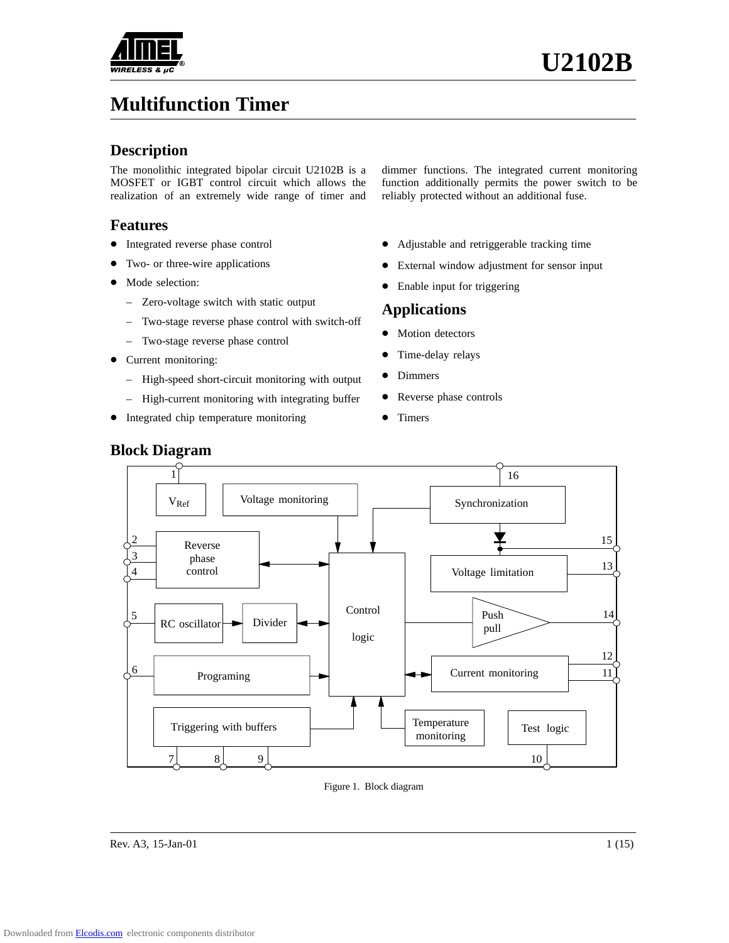

# **Multifunction Timer**

#### **Description**

The monolithic integrated bipolar circuit U2102B is a MOSFET or IGBT control circuit which allows the realization of an extremely wide range of timer and

### **Features**

- Integrated reverse phase control
- $\bullet$ Two- or three-wire applications
- Mode selection:
	- Zero-voltage switch with static output
	- Two-stage reverse phase control with switch-off
	- Two-stage reverse phase control
- Current monitoring:
	- High-speed short-circuit monitoring with output
	- High-current monitoring with integrating buffer
- Integrated chip temperature monitoring
- dimmer functions. The integrated current monitoring function additionally permits the power switch to be reliably protected without an additional fuse.
- Adjustable and retriggerable tracking time
- $\bullet$ External window adjustment for sensor input
- $\bullet$ Enable input for triggering

#### **Applications**

- $\bullet$ Motion detectors
- $\bullet$ Time-delay relays
- $\bullet$ Dimmers
- $\bullet$ Reverse phase controls
- $\bullet$ Timers



#### Figure 1. Block diagram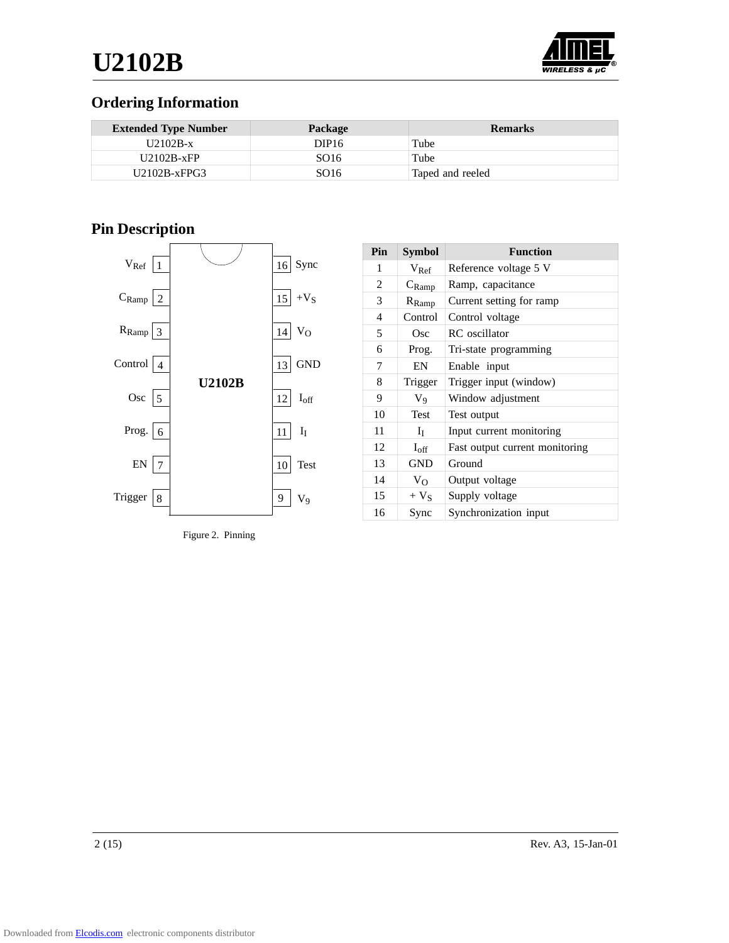

# **Ordering Information**

| <b>Extended Type Number</b> | <b>Package</b>    | <b>Remarks</b>   |
|-----------------------------|-------------------|------------------|
| $U2102B-x$                  | DIP <sub>16</sub> | Tube             |
| $U2102B-xFP$                | SO <sub>16</sub>  | Tube             |
| $U2102B-xFPG3$              | SO <sub>16</sub>  | Taped and reeled |

# **Pin Description**



Figure 2. Pinning

| Pin            | Symbol            | <b>Function</b>                |
|----------------|-------------------|--------------------------------|
| 1              | $V_{\text{Ref}}$  | Reference voltage 5 V          |
| $\overline{2}$ | $C_{\text{Ramp}}$ | Ramp, capacitance              |
| 3              | $R_{Ramp}$        | Current setting for ramp       |
| 4              | Control           | Control voltage                |
| 5              | Osc               | <b>RC</b> oscillator           |
| 6              | Prog.             | Tri-state programming          |
| 7              | EN                | Enable input                   |
| 8              | Trigger           | Trigger input (window)         |
| 9              | $V_9$             | Window adjustment              |
| 10             | Test              | Test output                    |
| 11             | Ιī                | Input current monitoring       |
| 12             | $I_{\rm off}$     | Fast output current monitoring |
| 13             | <b>GND</b>        | Ground                         |
| 14             | $V_{O}$           | Output voltage                 |
| 15             | $+V_{S}$          | Supply voltage                 |
| 16             | Sync              | Synchronization input          |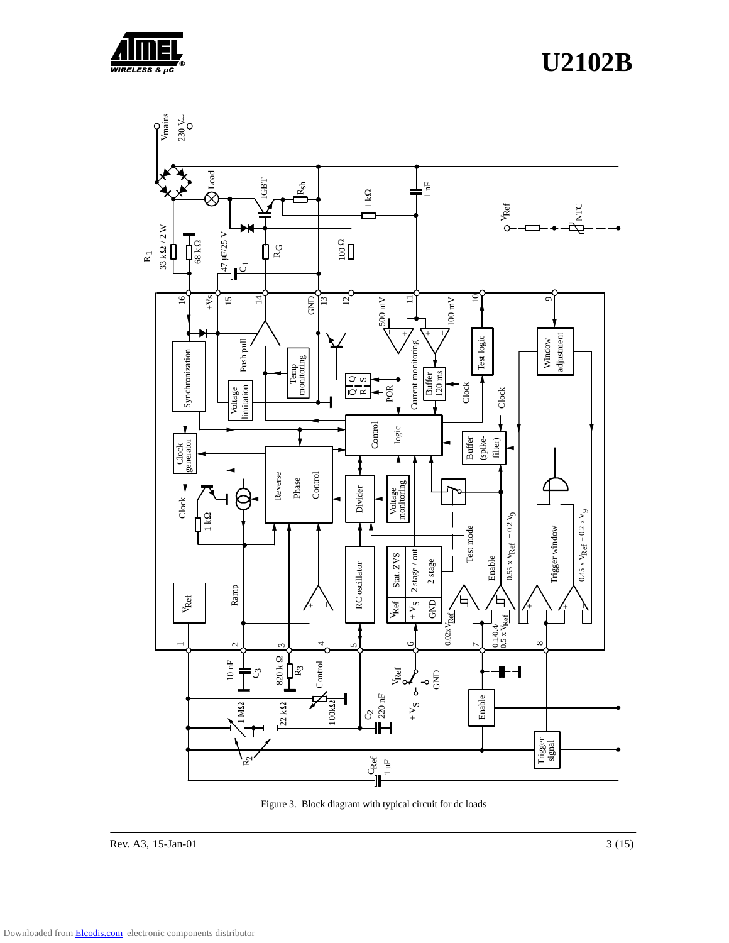



Figure 3. Block diagram with typical circuit for dc loads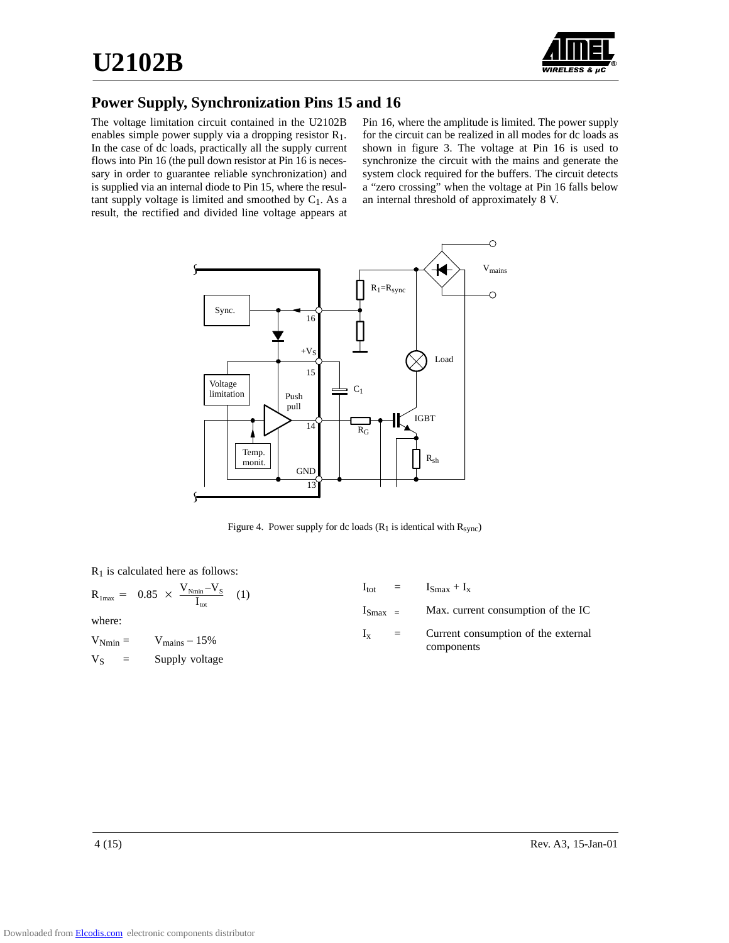

## **Power Supply, Synchronization Pins 15 and 16**

The voltage limitation circuit contained in the U2102B enables simple power supply via a dropping resistor R1. In the case of dc loads, practically all the supply current flows into Pin 16 (the pull down resistor at Pin 16 is necessary in order to guarantee reliable synchronization) and is supplied via an internal diode to Pin 15, where the resultant supply voltage is limited and smoothed by  $C_1$ . As a result, the rectified and divided line voltage appears at

Pin 16, where the amplitude is limited. The power supply for the circuit can be realized in all modes for dc loads as shown in figure 3. The voltage at Pin 16 is used to synchronize the circuit with the mains and generate the system clock required for the buffers. The circuit detects a "zero crossing" when the voltage at Pin 16 falls below an internal threshold of approximately 8 V.



Figure 4. Power supply for dc loads  $(R_1$  is identical with  $R_{sync}$ )

 $R_1$  is calculated here as follows:

| $R_{\text{1max}} = 0.85 \times \frac{V_{\text{Nmin}} - V_{\text{S}}}{I_{\text{tot}}}$ (1) |  | $I_{\text{tot}} = I_{\text{Smax}} + I_{\text{x}}$         |
|-------------------------------------------------------------------------------------------|--|-----------------------------------------------------------|
| where:                                                                                    |  | $I_{\text{Smax}}$ = Max. current consumption of the IC    |
| $V_{\text{Nmin}} = V_{\text{mains}} - 15\%$                                               |  | $I_x$ = Current consumption of the external<br>components |
| $V_S$ = Supply voltage                                                                    |  |                                                           |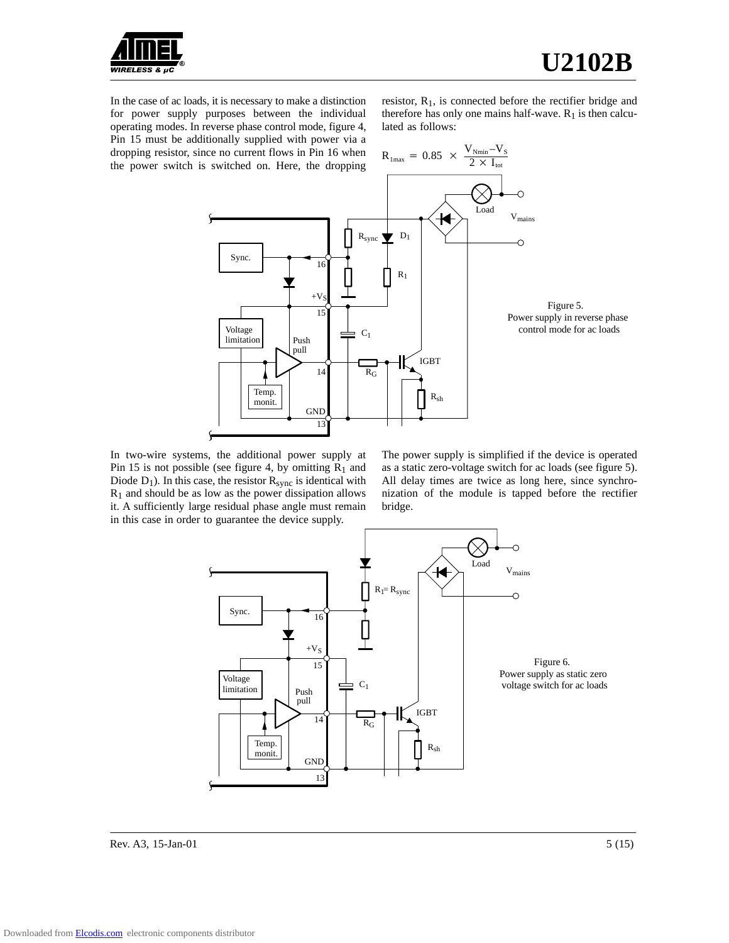

In the case of ac loads, it is necessary to make a distinction for power supply purposes between the individual operating modes. In reverse phase control mode, figure 4, Pin 15 must be additionally supplied with power via a dropping resistor, since no current flows in Pin 16 when the power switch is switched on. Here, the dropping

resistor,  $R_1$ , is connected before the rectifier bridge and therefore has only one mains half-wave.  $R_1$  is then calculated as follows:



In two-wire systems, the additional power supply at Pin 15 is not possible (see figure 4, by omitting  $R_1$  and Diode  $D_1$ ). In this case, the resistor  $R_{sync}$  is identical with  $R<sub>1</sub>$  and should be as low as the power dissipation allows it. A sufficiently large residual phase angle must remain in this case in order to guarantee the device supply.

The power supply is simplified if the device is operated as a static zero-voltage switch for ac loads (see figure 5). All delay times are twice as long here, since synchronization of the module is tapped before the rectifier bridge.



Rev. A3, 15-Jan-01  $5(15)$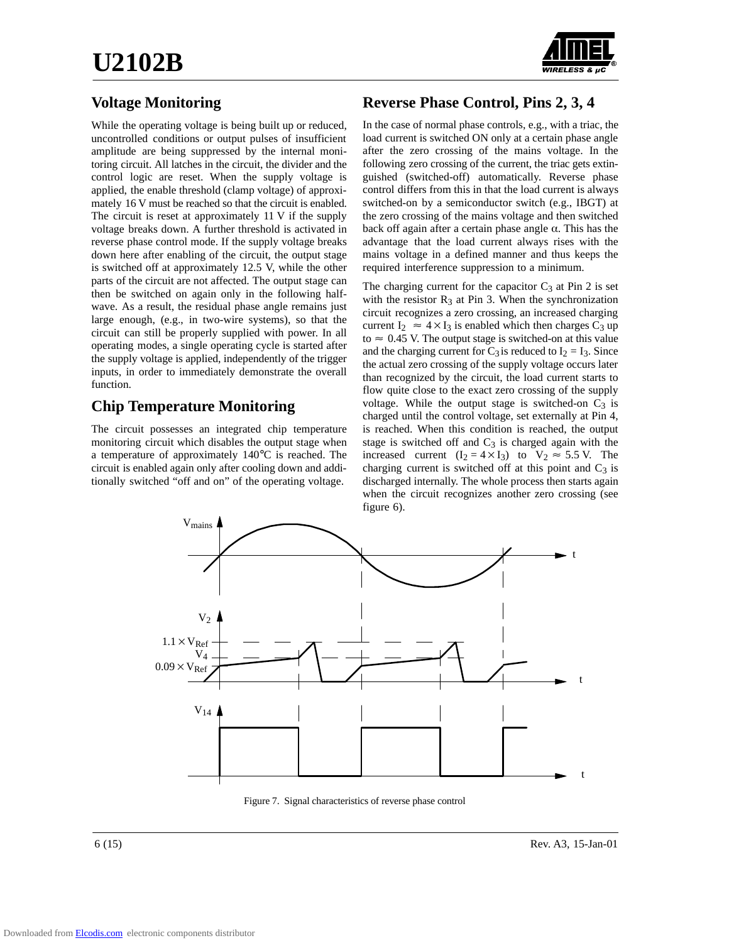

# **Voltage Monitoring**

While the operating voltage is being built up or reduced, uncontrolled conditions or output pulses of insufficient amplitude are being suppressed by the internal monitoring circuit. All latches in the circuit, the divider and the control logic are reset. When the supply voltage is applied, the enable threshold (clamp voltage) of approximately 16 V must be reached so that the circuit is enabled. The circuit is reset at approximately 11 V if the supply voltage breaks down. A further threshold is activated in reverse phase control mode. If the supply voltage breaks down here after enabling of the circuit, the output stage is switched off at approximately 12.5 V, while the other parts of the circuit are not affected. The output stage can then be switched on again only in the following halfwave. As a result, the residual phase angle remains just large enough, (e.g., in two-wire systems), so that the circuit can still be properly supplied with power. In all operating modes, a single operating cycle is started after the supply voltage is applied, independently of the trigger inputs, in order to immediately demonstrate the overall function.

## **Chip Temperature Monitoring**

The circuit possesses an integrated chip temperature monitoring circuit which disables the output stage when a temperature of approximately 140°C is reached. The circuit is enabled again only after cooling down and additionally switched "off and on" of the operating voltage.

# **Reverse Phase Control, Pins 2, 3, 4**

In the case of normal phase controls, e.g., with a triac, the load current is switched ON only at a certain phase angle after the zero crossing of the mains voltage. In the following zero crossing of the current, the triac gets extinguished (switched-off) automatically. Reverse phase control differs from this in that the load current is always switched-on by a semiconductor switch (e.g., IBGT) at the zero crossing of the mains voltage and then switched back off again after a certain phase angle  $\alpha$ . This has the advantage that the load current always rises with the mains voltage in a defined manner and thus keeps the required interference suppression to a minimum.

The charging current for the capacitor  $C_3$  at Pin 2 is set with the resistor  $R_3$  at Pin 3. When the synchronization circuit recognizes a zero crossing, an increased charging current I<sub>2</sub>  $\approx$  4 × I<sub>3</sub> is enabled which then charges C<sub>3</sub> up to  $\approx 0.45$  V. The output stage is switched-on at this value and the charging current for  $C_3$  is reduced to  $I_2 = I_3$ . Since the actual zero crossing of the supply voltage occurs later than recognized by the circuit, the load current starts to flow quite close to the exact zero crossing of the supply voltage. While the output stage is switched-on  $C_3$  is charged until the control voltage, set externally at Pin 4, is reached. When this condition is reached, the output stage is switched off and  $C_3$  is charged again with the increased current  $(I_2 = 4 \times I_3)$  to  $V_2 \approx 5.5$  V. The charging current is switched off at this point and  $C_3$  is discharged internally. The whole process then starts again when the circuit recognizes another zero crossing (see figure 6).



Figure 7. Signal characteristics of reverse phase control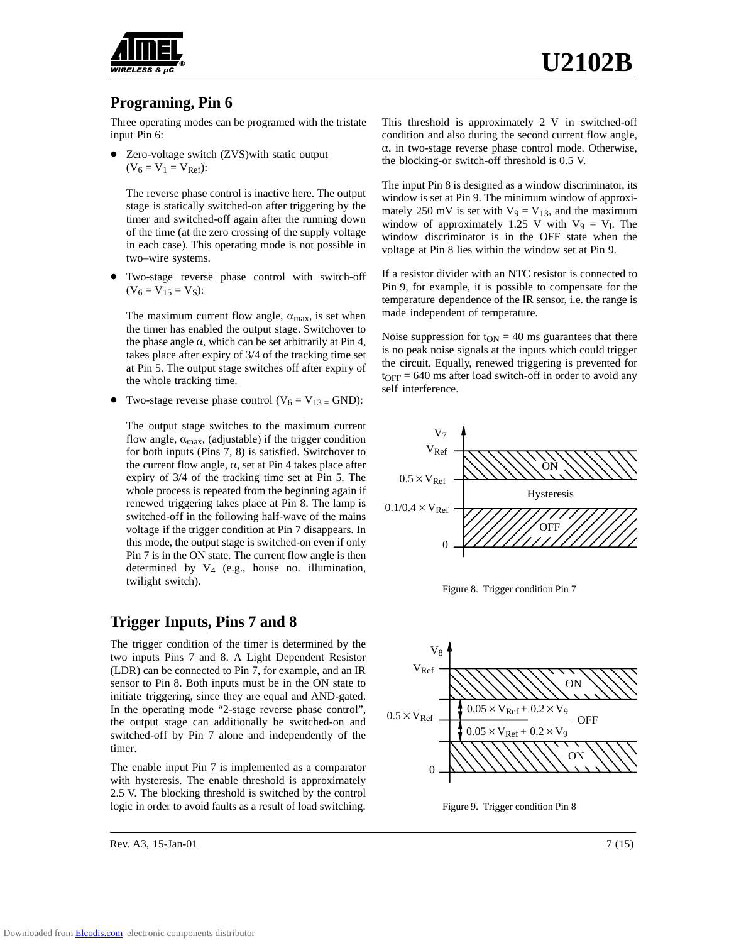

#### **Programing, Pin 6**

Three operating modes can be programed with the tristate input Pin 6:

• Zero-voltage switch (ZVS) with static output  $(V_6 = V_1 = V_{Ref})$ :

The reverse phase control is inactive here. The output stage is statically switched-on after triggering by the timer and switched-off again after the running down of the time (at the zero crossing of the supply voltage in each case). This operating mode is not possible in two–wire systems.

 $\bullet$  Two-stage reverse phase control with switch-off  $(V_6 = V_{15} = V_S)$ :

The maximum current flow angle,  $\alpha_{\text{max}}$ , is set when the timer has enabled the output stage. Switchover to the phase angle  $\alpha$ , which can be set arbitrarily at Pin 4, takes place after expiry of 3/4 of the tracking time set at Pin 5. The output stage switches off after expiry of the whole tracking time.

 $\bullet$ Two-stage reverse phase control ( $V_6 = V_{13} = GND$ ):

The output stage switches to the maximum current flow angle,  $\alpha_{\text{max}}$ , (adjustable) if the trigger condition for both inputs (Pins 7, 8) is satisfied. Switchover to the current flow angle,  $\alpha$ , set at Pin 4 takes place after expiry of 3/4 of the tracking time set at Pin 5. The whole process is repeated from the beginning again if renewed triggering takes place at Pin 8. The lamp is switched-off in the following half-wave of the mains voltage if the trigger condition at Pin 7 disappears. In this mode, the output stage is switched-on even if only Pin 7 is in the ON state. The current flow angle is then determined by V4 (e.g., house no. illumination, twilight switch).

#### **Trigger Inputs, Pins 7 and 8**

The trigger condition of the timer is determined by the two inputs Pins 7 and 8. A Light Dependent Resistor (LDR) can be connected to Pin 7, for example, and an IR sensor to Pin 8. Both inputs must be in the ON state to initiate triggering, since they are equal and AND-gated. In the operating mode "2-stage reverse phase control", the output stage can additionally be switched-on and switched-off by Pin 7 alone and independently of the timer.

The enable input Pin 7 is implemented as a comparator with hysteresis. The enable threshold is approximately 2.5 V. The blocking threshold is switched by the control logic in order to avoid faults as a result of load switching.

Rev. A3, 15-Jan-01 7 (15)

This threshold is approximately 2 V in switched-off condition and also during the second current flow angle,  $\alpha$ , in two-stage reverse phase control mode. Otherwise, the blocking-or switch-off threshold is 0.5 V.

The input Pin 8 is designed as a window discriminator, its window is set at Pin 9. The minimum window of approximately 250 mV is set with  $V_9 = V_{13}$ , and the maximum window of approximately 1.25 V with  $V_9 = V_1$ . The window discriminator is in the OFF state when the voltage at Pin 8 lies within the window set at Pin 9.

If a resistor divider with an NTC resistor is connected to Pin 9, for example, it is possible to compensate for the temperature dependence of the IR sensor, i.e. the range is made independent of temperature.

Noise suppression for  $t_{ON} = 40$  ms guarantees that there is no peak noise signals at the inputs which could trigger the circuit. Equally, renewed triggering is prevented for  $t_{\text{OFF}} = 640 \text{ ms}$  after load switch-off in order to avoid any self interference.



Figure 8. Trigger condition Pin 7



Figure 9. Trigger condition Pin 8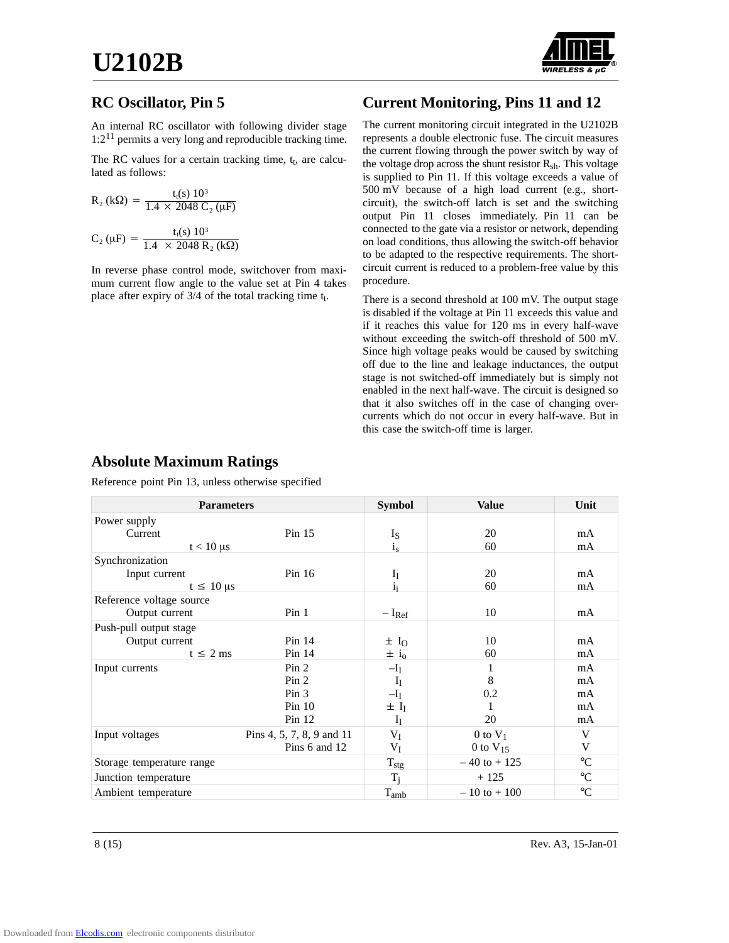

## **RC Oscillator, Pin 5**

An internal RC oscillator with following divider stage  $1:2^{11}$  permits a very long and reproducible tracking time.

The RC values for a certain tracking time,  $t_t$ , are calculated as follows:

$$
R_2 (k\Omega) = \frac{t_t(s) 10^3}{1.4 \times 2048 C_2 (\mu F)}
$$
  

$$
C_2 (\mu F) = \frac{t_t(s) 10^3}{1.4 \times 2048 R_2 (k\Omega)}
$$

In reverse phase control mode, switchover from maximum current flow angle to the value set at Pin 4 takes place after expiry of  $3/4$  of the total tracking time  $t_t$ .

# **Current Monitoring, Pins 11 and 12**

The current monitoring circuit integrated in the U2102B represents a double electronic fuse. The circuit measures the current flowing through the power switch by way of the voltage drop across the shunt resistor R<sub>sh</sub>. This voltage is supplied to Pin 11. If this voltage exceeds a value of 500 mV because of a high load current (e.g., shortcircuit), the switch-off latch is set and the switching output Pin 11 closes immediately. Pin 11 can be connected to the gate via a resistor or network, depending on load conditions, thus allowing the switch-off behavior to be adapted to the respective requirements. The shortcircuit current is reduced to a problem-free value by this procedure.

There is a second threshold at 100 mV. The output stage is disabled if the voltage at Pin 11 exceeds this value and if it reaches this value for 120 ms in every half-wave without exceeding the switch-off threshold of 500 mV. Since high voltage peaks would be caused by switching off due to the line and leakage inductances, the output stage is not switched-off immediately but is simply not enabled in the next half-wave. The circuit is designed so that it also switches off in the case of changing overcurrents which do not occur in every half-wave. But in this case the switch-off time is larger.

### **Absolute Maximum Ratings**

Reference point Pin 13, unless otherwise specified

| <b>Parameters</b>         |                           | <b>Symbol</b>        | <b>Value</b>    | Unit            |
|---------------------------|---------------------------|----------------------|-----------------|-----------------|
| Power supply              |                           |                      |                 |                 |
| Current                   | Pin $15$                  | Is                   | 20              | mA              |
| $t < 10 \mu s$            |                           | $i_s$                | 60              | mA              |
| Synchronization           |                           |                      |                 |                 |
| Input current             | Pin $16$                  | $I_I$                | 20              | mA              |
| $t \leq 10 \,\mu s$       |                           | i:                   | 60              | mA              |
| Reference voltage source  |                           |                      |                 |                 |
| Output current            | Pin <sub>1</sub>          | $-I_{Ref}$           | 10              | mA              |
| Push-pull output stage    |                           |                      |                 |                 |
| Output current            | Pin 14                    | $\pm I_0$            | 10              | mA              |
| $t \leq 2$ ms             | Pin 14                    | $\pm i_0$            | 60              | mA              |
| Input currents            | Pin <sub>2</sub>          | $-I_I$               |                 | mA              |
|                           | Pin <sub>2</sub>          | $I_I$                | 8               | mA              |
|                           | Pin <sub>3</sub>          | $-I_I$               | 0.2             | mA              |
|                           | $Pin$ 10                  | $\pm$ I <sub>I</sub> |                 | mA              |
|                           | Pin 12                    | $I_I$                | 20              | mA              |
| Input voltages            | Pins 4, 5, 7, 8, 9 and 11 | $V_I$                | $0$ to $V_1$    | V               |
|                           | Pins 6 and 12             | $\rm V_I$            | 0 to $V_{15}$   | V               |
| Storage temperature range |                           | $T_{\text{stg}}$     | $-40$ to $+125$ | $\rm ^{\circ}C$ |
| Junction temperature      |                           | Ti                   | $+125$          | $\rm ^{\circ}C$ |
| Ambient temperature       |                           | $T_{amb}$            | $-10$ to $+100$ | $\rm ^{\circ}C$ |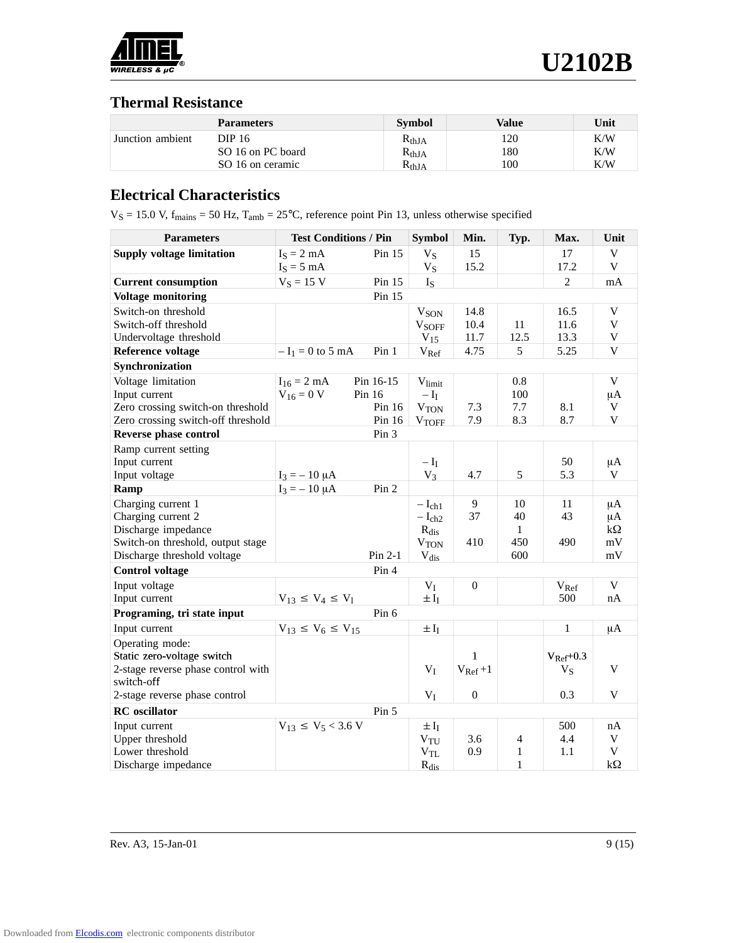

#### **Thermal Resistance**

|                  | <b>Parameters</b> | <b>Symbol</b>  | Value | Unit |
|------------------|-------------------|----------------|-------|------|
| Junction ambient | DIP 16.           | $R_{thJA}$     | 120   | K/W  |
|                  | SO 16 on PC board | $R_{thJA}$     | 180   | K/W  |
|                  | SO 16 on ceramic  | $\rm R_{thIA}$ | 100   | K/W  |

## **Electrical Characteristics**

 $V_S = 15.0$  V,  $f_{\text{mains}} = 50$  Hz,  $T_{\text{amb}} = 25^{\circ}\text{C}$ , reference point Pin 13, unless otherwise specified

| <b>Parameters</b>                  | <b>Test Conditions / Pin</b> |                  | <b>Symbol</b>                      | Min.         | Typ.         | Max.                   | Unit        |
|------------------------------------|------------------------------|------------------|------------------------------------|--------------|--------------|------------------------|-------------|
| <b>Supply voltage limitation</b>   | $I_S = 2 mA$                 | Pin $15$         | $V_S$                              | 15           |              | 17                     | V           |
|                                    | $I_S = 5$ mA                 |                  | $V_S$                              | 15.2         |              | 17.2                   | V           |
| <b>Current consumption</b>         | $V_S = 15 V$                 | Pin 15           | $I_{S}$                            |              |              | $\overline{2}$         | mA          |
| <b>Voltage monitoring</b>          |                              | Pin 15           |                                    |              |              |                        |             |
| Switch-on threshold                |                              |                  | V <sub>SON</sub>                   | 14.8         |              | 16.5                   | V           |
| Switch-off threshold               |                              |                  | <b>VSOFF</b>                       | 10.4         | 11           | 11.6                   | V           |
| Undervoltage threshold             |                              |                  | $V_{15}$                           | 11.7         | 12.5         | 13.3                   | V           |
| <b>Reference voltage</b>           | $-I_1 = 0$ to 5 mA           | Pin <sub>1</sub> | $V_{Ref}$                          | 4.75         | 5            | 5.25                   | V           |
| Synchronization                    |                              |                  |                                    |              |              |                        |             |
| Voltage limitation                 | $I_{16} = 2$ mA              | Pin 16-15        | $V_{\text{limit}}$                 |              | 0.8          |                        | V           |
| Input current                      | $V_{16} = 0 V$               | Pin $16$         | $-\mathop{\rm I}\nolimits_{\rm I}$ |              | 100          |                        | μA          |
| Zero crossing switch-on threshold  |                              | Pin $16$         | <b>VTON</b>                        | 7.3          | 7.7          | 8.1                    | V           |
| Zero crossing switch-off threshold |                              | Pin 16           | <b>VTOFF</b>                       | 7.9          | 8.3          | 8.7                    | $\mathbf V$ |
| Reverse phase control              |                              | Pin 3            |                                    |              |              |                        |             |
| Ramp current setting               |                              |                  |                                    |              |              |                        |             |
| Input current                      |                              |                  | $-\mathrm{I}_\mathrm{I}$           |              |              | 50                     | μA          |
| Input voltage                      | $I_3 = -10 \mu A$            |                  | $V_3$                              | 4.7          | 5            | 5.3                    | V           |
| Ramp                               | $I_3 = -10 \mu A$            | Pin 2            |                                    |              |              |                        |             |
| Charging current 1                 |                              |                  | $-I_{ch1}$                         | 9            | 10           | 11                     | μA          |
| Charging current 2                 |                              |                  | $-I_{ch2}$                         | 37           | 40           | 43                     | $\mu A$     |
| Discharge impedance                |                              |                  | $R_{dis}$                          |              | $\mathbf{1}$ |                        | $k\Omega$   |
| Switch-on threshold, output stage  |                              |                  | V <sub>TON</sub>                   | 410          | 450          | 490                    | mV          |
| Discharge threshold voltage        |                              | $Pin 2-1$        | $V_{dis}$                          |              | 600          |                        | mV          |
| <b>Control voltage</b>             |                              | Pin 4            |                                    |              |              |                        |             |
| Input voltage                      |                              |                  | $V_I$                              | $\mathbf{0}$ |              | $V_{\text{Ref}}$       | $\mathbf V$ |
| Input current                      | $V_{13} \le V_4 \le V_1$     |                  | $\pm I_I$                          |              |              | 500                    | nA          |
| Programing, tri state input        |                              | Pin 6            |                                    |              |              |                        |             |
| Input current                      | $V_{13} \le V_6 \le V_{15}$  |                  | $\pm\,{\rm I_I}$                   |              |              | $\mathbf{1}$           | μA          |
| Operating mode:                    |                              |                  |                                    |              |              |                        |             |
| Static zero-voltage switch         |                              |                  |                                    | 1            |              | $V_{\text{Ref}} + 0.3$ |             |
| 2-stage reverse phase control with |                              |                  | $V_I$                              | $V_{Ref}+1$  |              | $V_S$                  | V           |
| switch-off                         |                              |                  |                                    |              |              |                        |             |
| 2-stage reverse phase control      |                              |                  | $V_I$                              | $\mathbf{0}$ |              | 0.3                    | V           |
| <b>RC</b> oscillator               |                              | Pin 5            |                                    |              |              |                        |             |
| Input current                      | $V_{13} \le V_5 < 3.6$ V     |                  | $\pm I_I$                          |              |              | 500                    | nA          |
| Upper threshold                    |                              |                  | $V_{TU}$                           | 3.6          | 4            | 4.4                    | V           |
| Lower threshold                    |                              |                  | $V_{TL}$                           | 0.9          | 1            | 1.1                    | V           |
| Discharge impedance                |                              |                  | $R_{dis}$                          |              | $\mathbf{1}$ |                        | $k\Omega$   |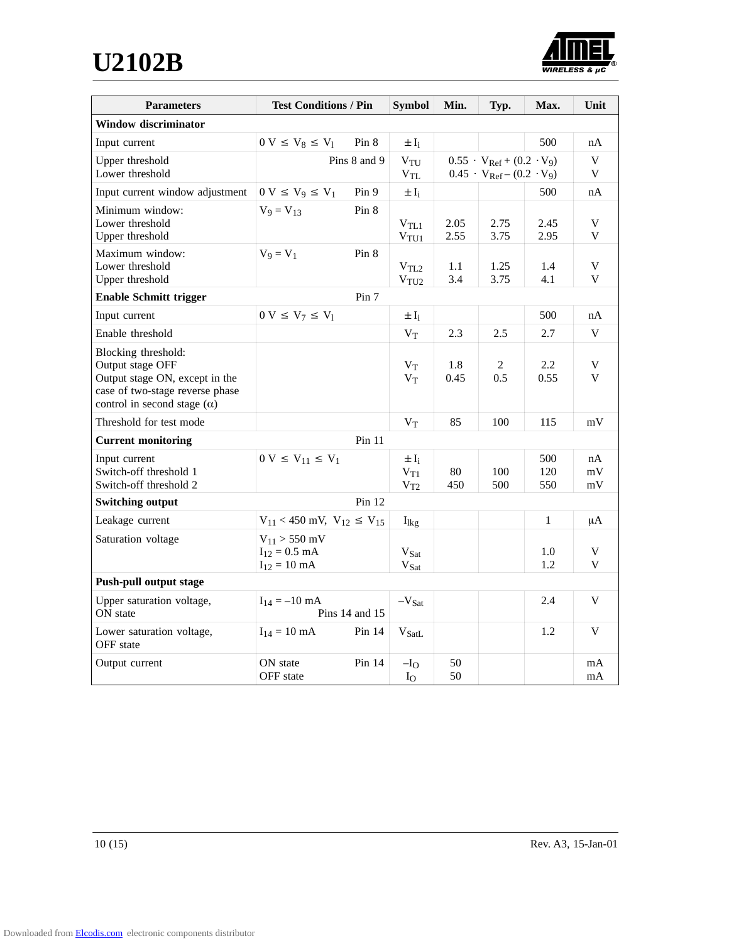**U2102B**



| <b>Parameters</b>                                  | <b>Test Conditions / Pin</b>           |                | <b>Symbol</b>                        | Min.         | Typ.                                   | Max.         | Unit        |
|----------------------------------------------------|----------------------------------------|----------------|--------------------------------------|--------------|----------------------------------------|--------------|-------------|
| <b>Window discriminator</b>                        |                                        |                |                                      |              |                                        |              |             |
| Input current                                      | $0 V \leq V_8 \leq V_1$                | Pin 8          | $\pm I_i$                            |              |                                        | 500          | nA          |
| Upper threshold                                    |                                        | Pins 8 and 9   | $V_{\text{TU}}$                      |              | $0.55 \cdot V_{Ref} + (0.2 \cdot V_9)$ |              | $\mathbf V$ |
| Lower threshold                                    |                                        |                | $V_{TL}$                             |              | $0.45 \cdot V_{Ref} - (0.2 \cdot V_9)$ |              | V           |
| Input current window adjustment                    | $0 V \le V_9 \le V_1$                  | Pin 9          | $\pm I_i$                            |              |                                        | 500          | nA          |
| Minimum window:                                    | $V_9 = V_{13}$                         | Pin 8          |                                      |              |                                        |              |             |
| Lower threshold<br>Upper threshold                 |                                        |                | $\rm V_{TL1}$<br>V <sub>TU1</sub>    | 2.05<br>2.55 | 2.75<br>3.75                           | 2.45<br>2.95 | V<br>V      |
| Maximum window:                                    | $V_9 = V_1$                            | Pin 8          |                                      |              |                                        |              |             |
| Lower threshold                                    |                                        |                | V <sub>TL2</sub>                     | $1.1\,$      | 1.25                                   | 1.4          | V           |
| Upper threshold                                    |                                        |                | V <sub>TU2</sub>                     | 3.4          | 3.75                                   | 4.1          | V           |
| <b>Enable Schmitt trigger</b>                      |                                        | Pin 7          |                                      |              |                                        |              |             |
| Input current                                      | $0 V \le V_7 \le V_1$                  |                | $\pm I_i$                            |              |                                        | 500          | nA          |
| Enable threshold                                   |                                        |                | $V_T$                                | 2.3          | 2.5                                    | 2.7          | V           |
| Blocking threshold:                                |                                        |                |                                      |              |                                        |              |             |
| Output stage OFF<br>Output stage ON, except in the |                                        |                | $V_T$                                | 1.8          | 2                                      | 2.2<br>0.55  | V<br>V      |
| case of two-stage reverse phase                    |                                        |                | $V_T$                                | 0.45         | 0.5                                    |              |             |
| control in second stage $(\alpha)$                 |                                        |                |                                      |              |                                        |              |             |
| Threshold for test mode                            |                                        |                | $V_T$                                | 85           | 100                                    | 115          | mV          |
| <b>Current monitoring</b>                          |                                        | $Pin$ 11       |                                      |              |                                        |              |             |
| Input current                                      | $0 V \le V_{11} \le V_1$               |                | $\pm I_i$                            |              |                                        | 500          | nA          |
| Switch-off threshold 1                             |                                        |                | $V_{T1}$                             | 80           | 100                                    | 120          | mV          |
| Switch-off threshold 2                             |                                        |                | $V_{T2}$                             | 450          | 500                                    | 550          | mV          |
| <b>Switching output</b>                            |                                        | Pin 12         |                                      |              |                                        |              |             |
| Leakage current                                    | $V_{11}$ < 450 mV, $V_{12} \le V_{15}$ |                | $I_{\text{lkg}}$                     |              |                                        | $\mathbf{1}$ | $\mu A$     |
| Saturation voltage                                 | $V_{11} > 550$ mV                      |                |                                      |              |                                        |              |             |
|                                                    | $I_{12} = 0.5$ mA<br>$I_{12} = 10$ mA  |                | V <sub>Sat</sub><br>$V_{\text{Sat}}$ |              |                                        | 1.0<br>1.2   | V<br>V      |
| <b>Push-pull output stage</b>                      |                                        |                |                                      |              |                                        |              |             |
| Upper saturation voltage,                          | $I_{14} = -10$ mA                      |                | $-V_{Sat}$                           |              |                                        | 2.4          | V           |
| ON state                                           |                                        | Pins 14 and 15 |                                      |              |                                        |              |             |
| Lower saturation voltage,<br>OFF state             | $I_{14} = 10 \text{ mA}$               | Pin 14         | $V_{SatL}$                           |              |                                        | 1.2          | V           |
| Output current                                     | ON state                               | Pin 14         | $-IO$                                | 50<br>50     |                                        |              | mA          |
|                                                    | OFF state                              |                | $I_{O}$                              |              |                                        |              | mA          |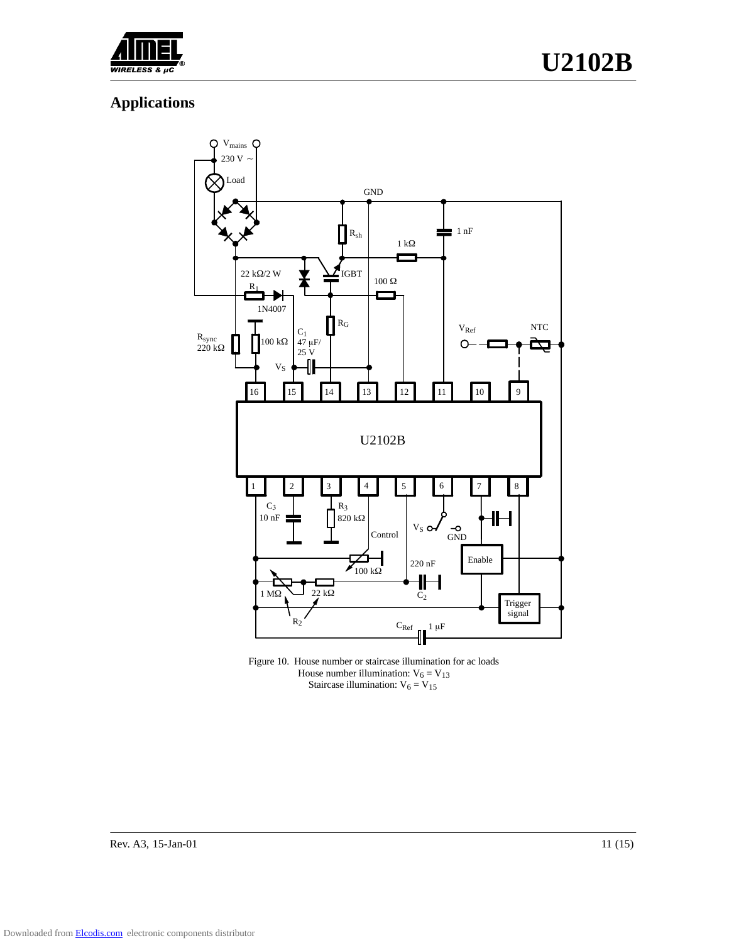

# **Applications**



Figure 10. House number or staircase illumination for ac loads House number illumination:  $V_6 = V_{13}$ Staircase illumination:  $V_6 = V_{15}$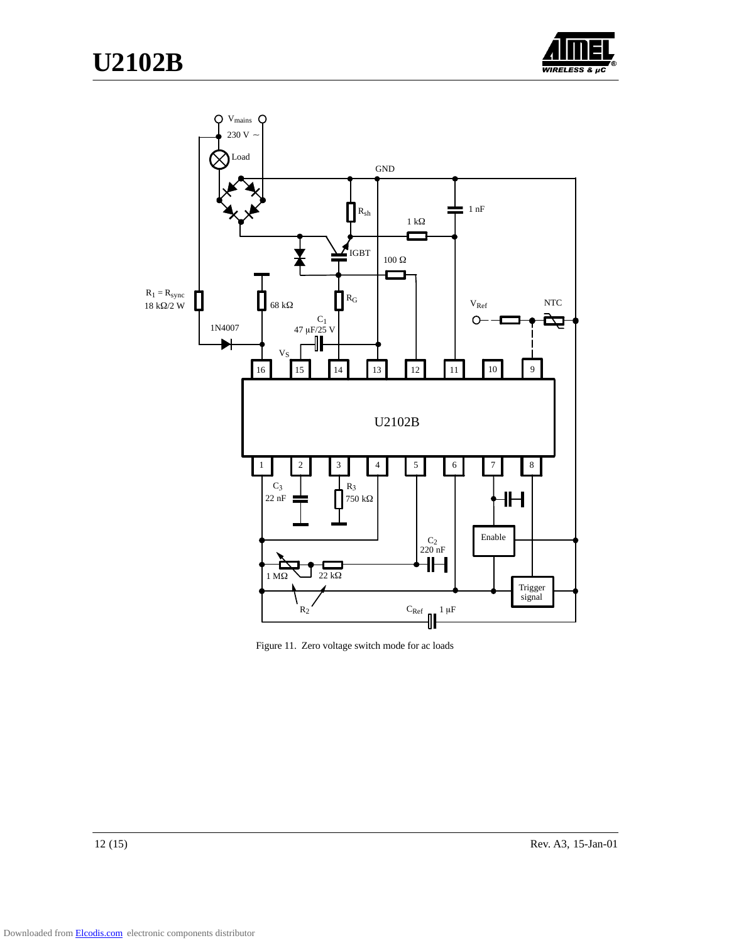



Figure 11. Zero voltage switch mode for ac loads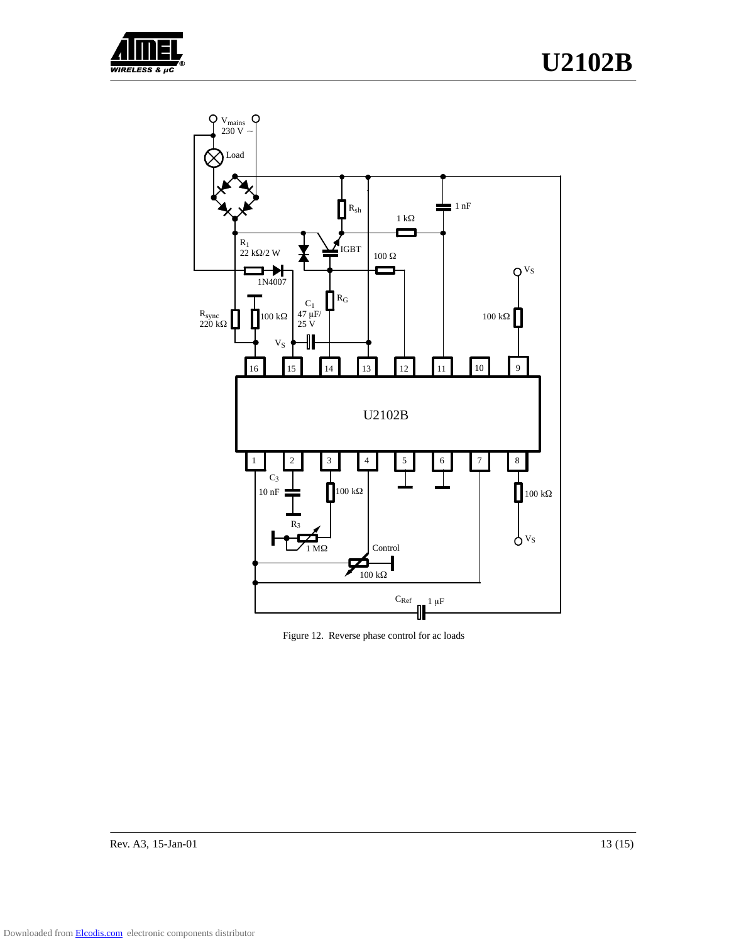



Figure 12. Reverse phase control for ac loads

Rev. A3, 15-Jan-01 13 (15)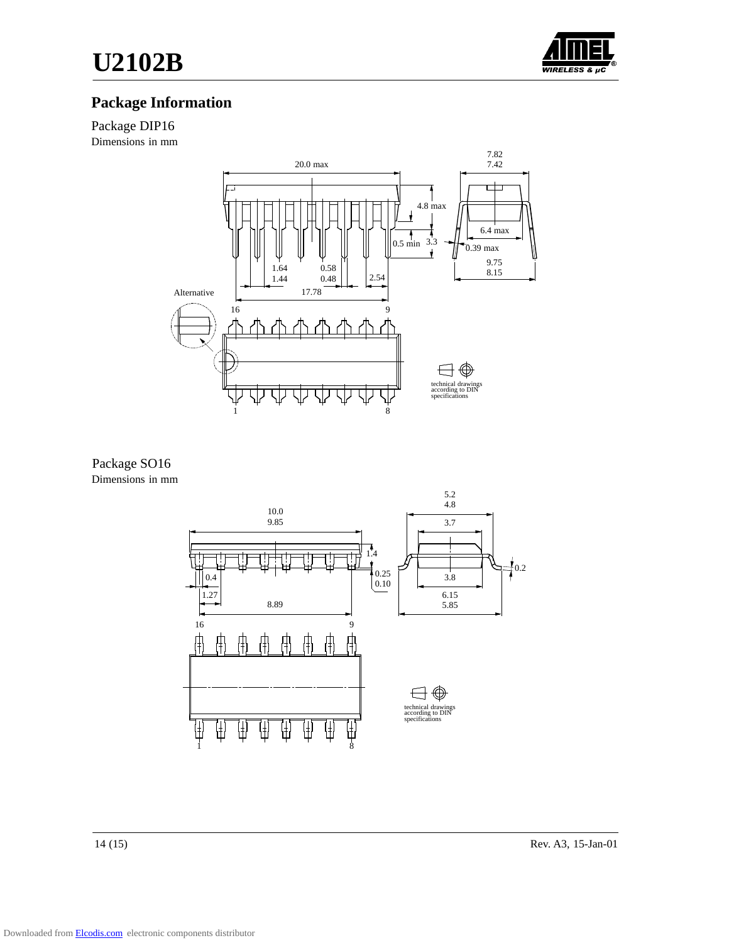

# **Package Information**

#### Package DIP16

Dimensions in mm



#### Package SO16 Dimensions in mm